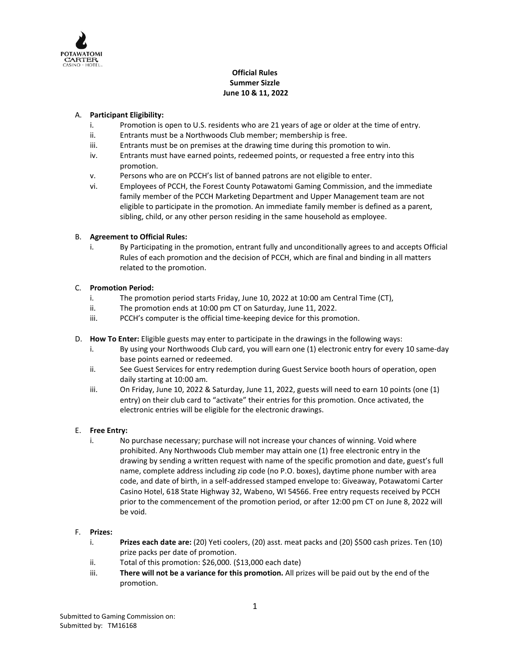

# **Official Rules Summer Sizzle June 10 & 11, 2022**

# A. **Participant Eligibility:**

- i. Promotion is open to U.S. residents who are 21 years of age or older at the time of entry.
- ii. Entrants must be a Northwoods Club member; membership is free.
- iii. Entrants must be on premises at the drawing time during this promotion to win.
- iv. Entrants must have earned points, redeemed points, or requested a free entry into this promotion.
- v. Persons who are on PCCH's list of banned patrons are not eligible to enter.
- vi. Employees of PCCH, the Forest County Potawatomi Gaming Commission, and the immediate family member of the PCCH Marketing Department and Upper Management team are not eligible to participate in the promotion. An immediate family member is defined as a parent, sibling, child, or any other person residing in the same household as employee.

## B. **Agreement to Official Rules:**

i. By Participating in the promotion, entrant fully and unconditionally agrees to and accepts Official Rules of each promotion and the decision of PCCH, which are final and binding in all matters related to the promotion.

#### C. **Promotion Period:**

- i. The promotion period starts Friday, June 10, 2022 at 10:00 am Central Time (CT),
- ii. The promotion ends at 10:00 pm CT on Saturday, June 11, 2022.
- iii. PCCH's computer is the official time-keeping device for this promotion.
- D. **How To Enter:** Eligible guests may enter to participate in the drawings in the following ways:
	- i. By using your Northwoods Club card, you will earn one (1) electronic entry for every 10 same-day base points earned or redeemed.
	- ii. See Guest Services for entry redemption during Guest Service booth hours of operation, open daily starting at 10:00 am.
	- iii. On Friday, June 10, 2022 & Saturday, June 11, 2022, guests will need to earn 10 points (one (1) entry) on their club card to "activate" their entries for this promotion. Once activated, the electronic entries will be eligible for the electronic drawings.

## E. **Free Entry:**

i. No purchase necessary; purchase will not increase your chances of winning. Void where prohibited. Any Northwoods Club member may attain one (1) free electronic entry in the drawing by sending a written request with name of the specific promotion and date, guest's full name, complete address including zip code (no P.O. boxes), daytime phone number with area code, and date of birth, in a self-addressed stamped envelope to: Giveaway, Potawatomi Carter Casino Hotel, 618 State Highway 32, Wabeno, WI 54566. Free entry requests received by PCCH prior to the commencement of the promotion period, or after 12:00 pm CT on June 8, 2022 will be void.

## F. **Prizes:**

- i. **Prizes each date are:** (20) Yeti coolers, (20) asst. meat packs and (20) \$500 cash prizes. Ten (10) prize packs per date of promotion.
- ii. Total of this promotion: \$26,000. (\$13,000 each date)
- iii. **There will not be a variance for this promotion.** All prizes will be paid out by the end of the promotion.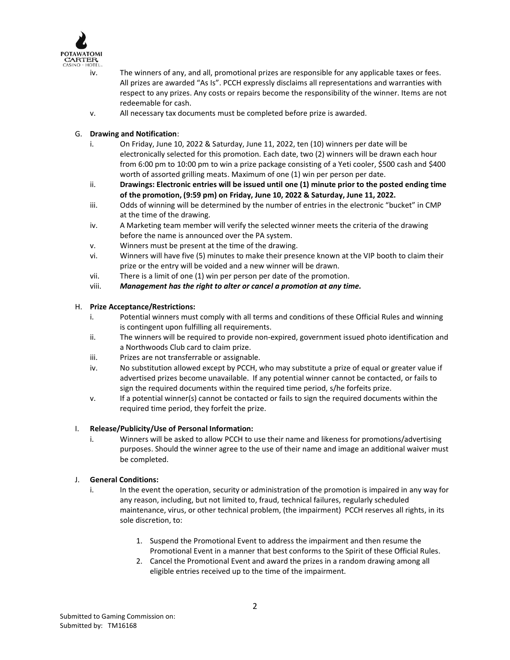

- iv. The winners of any, and all, promotional prizes are responsible for any applicable taxes or fees. All prizes are awarded "As Is". PCCH expressly disclaims all representations and warranties with respect to any prizes. Any costs or repairs become the responsibility of the winner. Items are not redeemable for cash.
- v. All necessary tax documents must be completed before prize is awarded.
- G. **Drawing and Notification**:
	- i. On Friday, June 10, 2022 & Saturday, June 11, 2022, ten (10) winners per date will be electronically selected for this promotion. Each date, two (2) winners will be drawn each hour from 6:00 pm to 10:00 pm to win a prize package consisting of a Yeti cooler, \$500 cash and \$400 worth of assorted grilling meats. Maximum of one (1) win per person per date.
	- ii. **Drawings: Electronic entries will be issued until one (1) minute prior to the posted ending time of the promotion, (9:59 pm) on Friday, June 10, 2022 & Saturday, June 11, 2022.**
	- iii. Odds of winning will be determined by the number of entries in the electronic "bucket" in CMP at the time of the drawing.
	- iv. A Marketing team member will verify the selected winner meets the criteria of the drawing before the name is announced over the PA system.
	- v. Winners must be present at the time of the drawing.
	- vi. Winners will have five (5) minutes to make their presence known at the VIP booth to claim their prize or the entry will be voided and a new winner will be drawn.
	- vii. There is a limit of one (1) win per person per date of the promotion.
	- viii. *Management has the right to alter or cancel a promotion at any time.*

#### H. **Prize Acceptance/Restrictions:**

- i. Potential winners must comply with all terms and conditions of these Official Rules and winning is contingent upon fulfilling all requirements.
- ii. The winners will be required to provide non-expired, government issued photo identification and a Northwoods Club card to claim prize.
- iii. Prizes are not transferrable or assignable.
- iv. No substitution allowed except by PCCH, who may substitute a prize of equal or greater value if advertised prizes become unavailable. If any potential winner cannot be contacted, or fails to sign the required documents within the required time period, s/he forfeits prize.
- v. If a potential winner(s) cannot be contacted or fails to sign the required documents within the required time period, they forfeit the prize.

## I. **Release/Publicity/Use of Personal Information:**

i. Winners will be asked to allow PCCH to use their name and likeness for promotions/advertising purposes. Should the winner agree to the use of their name and image an additional waiver must be completed.

## J. **General Conditions:**

- i. In the event the operation, security or administration of the promotion is impaired in any way for any reason, including, but not limited to, fraud, technical failures, regularly scheduled maintenance, virus, or other technical problem, (the impairment) PCCH reserves all rights, in its sole discretion, to:
	- 1. Suspend the Promotional Event to address the impairment and then resume the Promotional Event in a manner that best conforms to the Spirit of these Official Rules.
	- 2. Cancel the Promotional Event and award the prizes in a random drawing among all eligible entries received up to the time of the impairment.